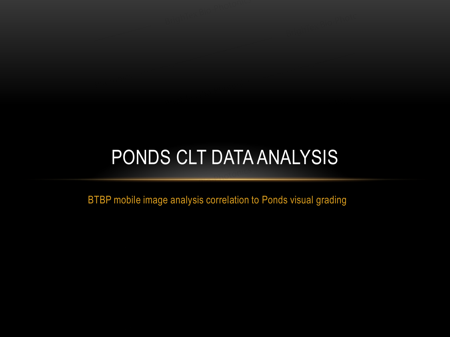# PONDS CLT DATA ANALYSIS

BTBP mobile image analysis correlation to Ponds visual grading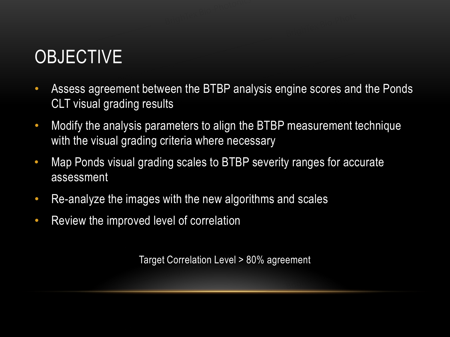## **OBJECTIVE**

- Assess agreement between the BTBP analysis engine scores and the Ponds CLT visual grading results
- Modify the analysis parameters to align the BTBP measurement technique with the visual grading criteria where necessary
- Map Ponds visual grading scales to BTBP severity ranges for accurate assessment
- Re-analyze the images with the new algorithms and scales
- Review the improved level of correlation

Target Correlation Level > 80% agreement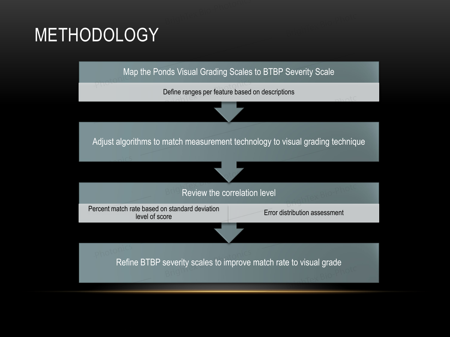## METHODOLOGY

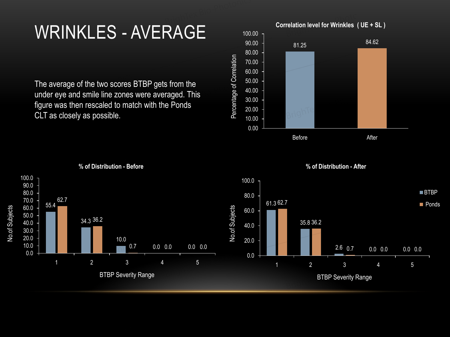### WRINKLES - AVERAGE

The average of the two scores BTBP gets from the under eye and smile line zones were averaged. This figure was then rescaled to match with the Ponds CLT as closely as possible.



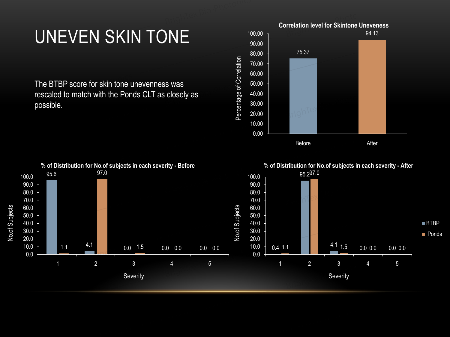### UNEVEN SKIN TONE

The BTBP score for skin tone unevenness was rescaled to match with the Ponds CLT as closely as possible.



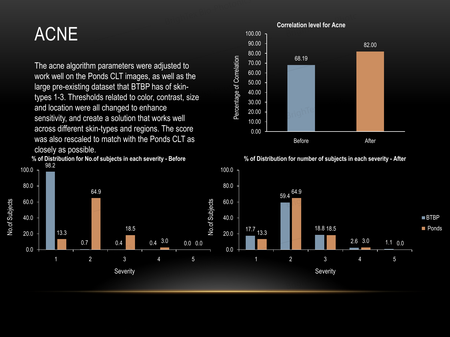#### ACNE

**% of Distribution for No.of subjects in each severity - Before**  The acne algorithm parameters were adjusted to work well on the Ponds CLT images, as well as the large pre-existing dataset that BTBP has of skintypes 1-3. Thresholds related to color, contrast, size and location were all changed to enhance sensitivity, and create a solution that works well across different skin-types and regions. The score was also rescaled to match with the Ponds CLT as closely as possible.





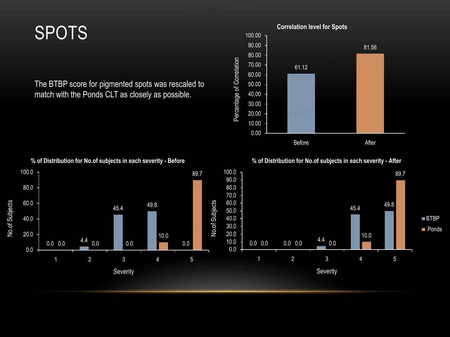### SPOTS

The BTBP score for pigmented spots was rescaled to match with the Ponds CLT as closely as possible.





#### **% of Distribution for No.of subjects in each severity - Before**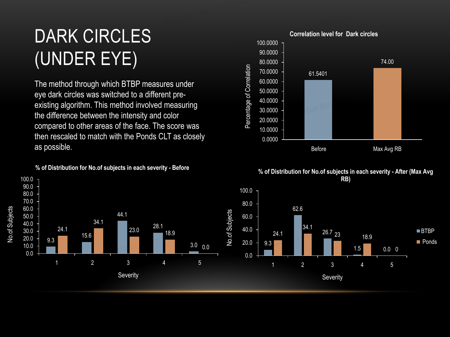# DARK CIRCLES (UNDER EYE)

The method through which BTBP measures under eye dark circles was switched to a different preexisting algorithm. This method involved measuring the difference between the intensity and color compared to other areas of the face. The score was then rescaled to match with the Ponds CLT as closely as possible.

#### **% of Distribution for No.of subjects in each severity - Before**





**% of Distribution for No.of subjects in each severity - After (Max Avg** 

■BTBP **Ponds**